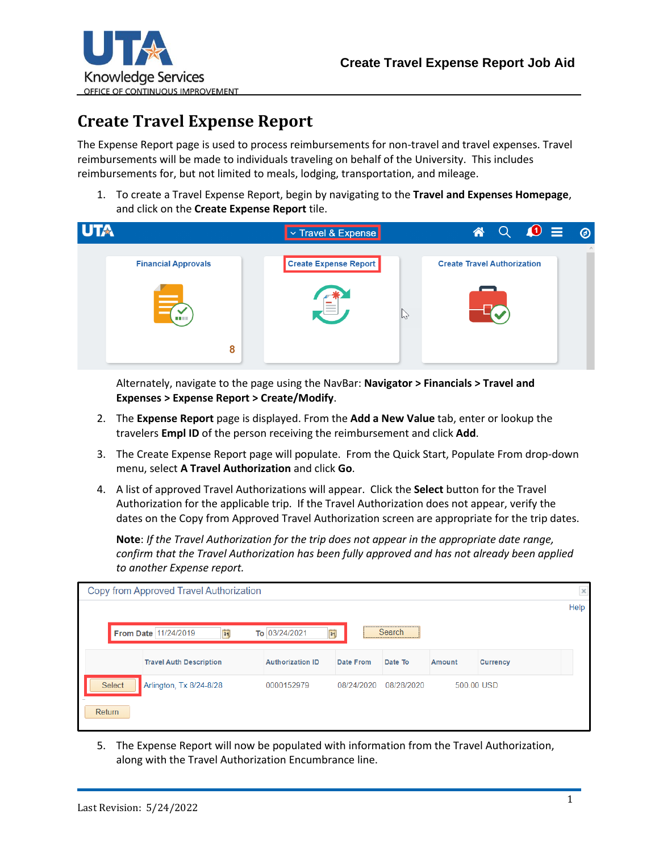

## **Create Travel Expense Report**

The Expense Report page is used to process reimbursements for non-travel and travel expenses. Travel reimbursements will be made to individuals traveling on behalf of the University. This includes reimbursements for, but not limited to meals, lodging, transportation, and mileage.

1. To create a Travel Expense Report, begin by navigating to the **Travel and Expenses Homepage**, and click on the **Create Expense Report** tile.



Alternately, navigate to the page using the NavBar: **Navigator > Financials > Travel and Expenses > Expense Report > Create/Modify**.

- 2. The **Expense Report** page is displayed. From the **Add a New Value** tab, enter or lookup the travelers **Empl ID** of the person receiving the reimbursement and click **Add**.
- 3. The Create Expense Report page will populate. From the Quick Start, Populate From drop-down menu, select **A Travel Authorization** and click **Go**.
- 4. A list of approved Travel Authorizations will appear. Click the **Select** button for the Travel Authorization for the applicable trip. If the Travel Authorization does not appear, verify the dates on the Copy from Approved Travel Authorization screen are appropriate for the trip dates.

**Note**: *If the Travel Authorization for the trip does not appear in the appropriate date range, confirm that the Travel Authorization has been fully approved and has not already been applied to another Expense report.*

| Copy from Approved Travel Authorization                               |                         |            |            |               |                 | $\times$ |
|-----------------------------------------------------------------------|-------------------------|------------|------------|---------------|-----------------|----------|
|                                                                       |                         |            |            |               |                 | Help     |
| Search<br>31<br>$\mathbf{E}$<br>To 03/24/2021<br>From Date 11/24/2019 |                         |            |            |               |                 |          |
| <b>Travel Auth Description</b>                                        | <b>Authorization ID</b> | Date From  | Date To    | <b>Amount</b> | <b>Currency</b> |          |
| Select<br>Arlington, Tx 8/24-8/28                                     | 0000152979              | 08/24/2020 | 08/28/2020 |               | 500.00 USD      |          |
| Return                                                                |                         |            |            |               |                 |          |

5. The Expense Report will now be populated with information from the Travel Authorization, along with the Travel Authorization Encumbrance line.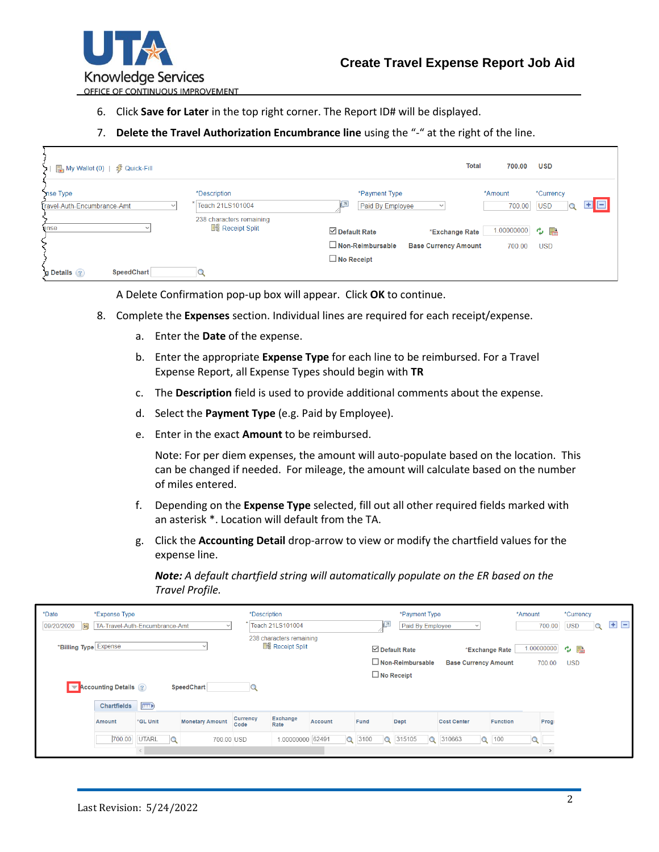

OFFICE OF CONTINUOUS IMPROVEMENT

- 6. Click **Save for Later** in the top right corner. The Report ID# will be displayed.
- 7. **Delete the Travel Authorization Encumbrance line** using the "-" at the right of the line.

| ■ My Wallet (0)   多 Quick-Fill          |                                                     |                                                                                                    | <b>Total</b><br>700.00    | <b>USD</b>                     |
|-----------------------------------------|-----------------------------------------------------|----------------------------------------------------------------------------------------------------|---------------------------|--------------------------------|
| nse Type<br>Travel-Auth-Encumbrance-Amt | <i>*Description</i><br>Teach 21LS101004             | *Payment Type<br>Paid By Employee<br>$\checkmark$                                                  | *Amount<br>700.00         | *Currency<br>E E<br><b>USD</b> |
| ense                                    | 238 characters remaining<br><b>He Receipt Split</b> | $\boxdot$ Default Rate<br>*Exchange Rate<br>$\Box$ Non-Reimbursable<br><b>Base Currency Amount</b> | 1.000000000 ウ 晶<br>700.00 | <b>USD</b>                     |
| <b>SpeedChart</b><br>g Details ?        |                                                     | $\Box$ No Receipt                                                                                  |                           |                                |

A Delete Confirmation pop-up box will appear. Click **OK** to continue.

- 8. Complete the **Expenses** section. Individual lines are required for each receipt/expense.
	- a. Enter the **Date** of the expense.
	- b. Enter the appropriate **Expense Type** for each line to be reimbursed. For a Travel Expense Report, all Expense Types should begin with **TR**
	- c. The **Description** field is used to provide additional comments about the expense.
	- d. Select the **Payment Type** (e.g. Paid by Employee).
	- e. Enter in the exact **Amount** to be reimbursed.

Note: For per diem expenses, the amount will auto-populate based on the location. This can be changed if needed. For mileage, the amount will calculate based on the number of miles entered.

- f. Depending on the **Expense Type** selected, fill out all other required fields marked with an asterisk \*. Location will default from the TA.
- g. Click the **Accounting Detail** drop-arrow to view or modify the chartfield values for the expense line.

*Note: A default chartfield string will automatically populate on the ER based on the Travel Profile.*

| *Date<br>09/20/2020<br> 31                        | *Expense Type               | TA-Travel-Auth-Encumbrance-Amt | $\checkmark$            | *Description     | Teach 21LS101004        |                        | Ľ    | *Payment Type<br>Paid By Employee |                             |                 | *Amount<br>700.00 | *Currency<br><b>USD</b> | $+$ $-$ |
|---------------------------------------------------|-----------------------------|--------------------------------|-------------------------|------------------|-------------------------|------------------------|------|-----------------------------------|-----------------------------|-----------------|-------------------|-------------------------|---------|
| 238 characters remaining<br>*Billing Type Expense |                             |                                | <b>He Receipt Split</b> |                  |                         | $\boxdot$ Default Rate |      | *Exchange Rate                    | 1.000000000 ウ h             |                 |                   |                         |         |
|                                                   |                             |                                |                         |                  |                         |                        |      | Non-Reimbursable                  | <b>Base Currency Amount</b> |                 | 700.00            | <b>USD</b>              |         |
|                                                   |                             |                                |                         |                  |                         |                        |      | $\Box$ No Receipt                 |                             |                 |                   |                         |         |
|                                                   | <b>Accounting Details</b> ? |                                | SpeedChart              |                  |                         |                        |      |                                   |                             |                 |                   |                         |         |
|                                                   |                             |                                |                         |                  |                         |                        |      |                                   |                             |                 |                   |                         |         |
|                                                   | Chartfields                 | $\equiv$                       |                         |                  |                         |                        |      |                                   |                             |                 |                   |                         |         |
|                                                   | <b>Amount</b>               | *GL Unit                       | <b>Monetary Amount</b>  | Currency<br>Code | <b>Exchange</b><br>Rate | Account                | Fund | Dept                              | <b>Cost Center</b>          | <b>Function</b> | Prog              |                         |         |
|                                                   | 700.00                      | UTARL<br>$\mathbf Q$           | 700.00 USD              |                  | 1.00000000 62491        | $\alpha$               | 3100 | Q 315105<br>Q                     | 310663<br>$\alpha$          | 100             |                   |                         |         |
|                                                   |                             |                                |                         |                  |                         |                        |      |                                   |                             |                 | $\rightarrow$     |                         |         |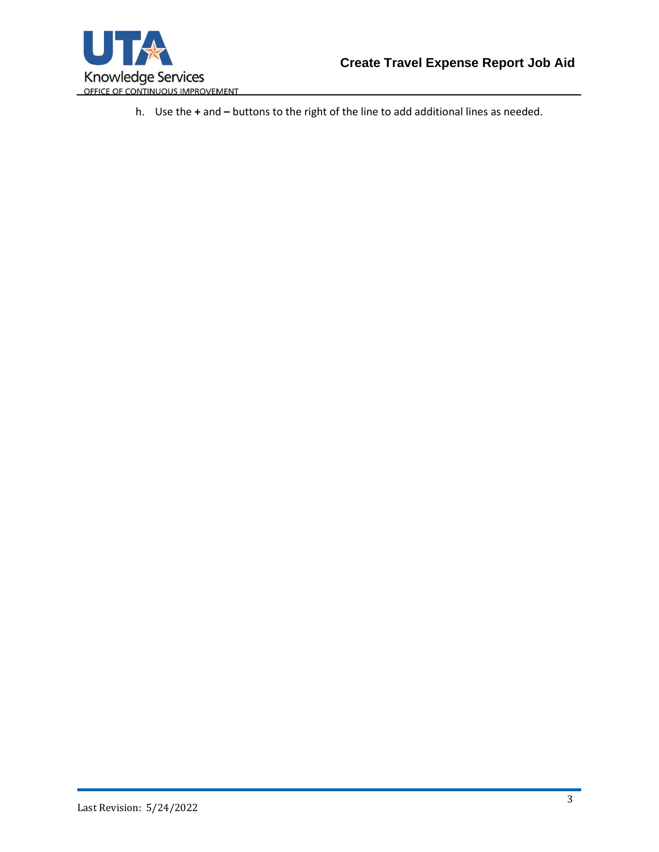

h. Use the **+** and **–** buttons to the right of the line to add additional lines as needed.